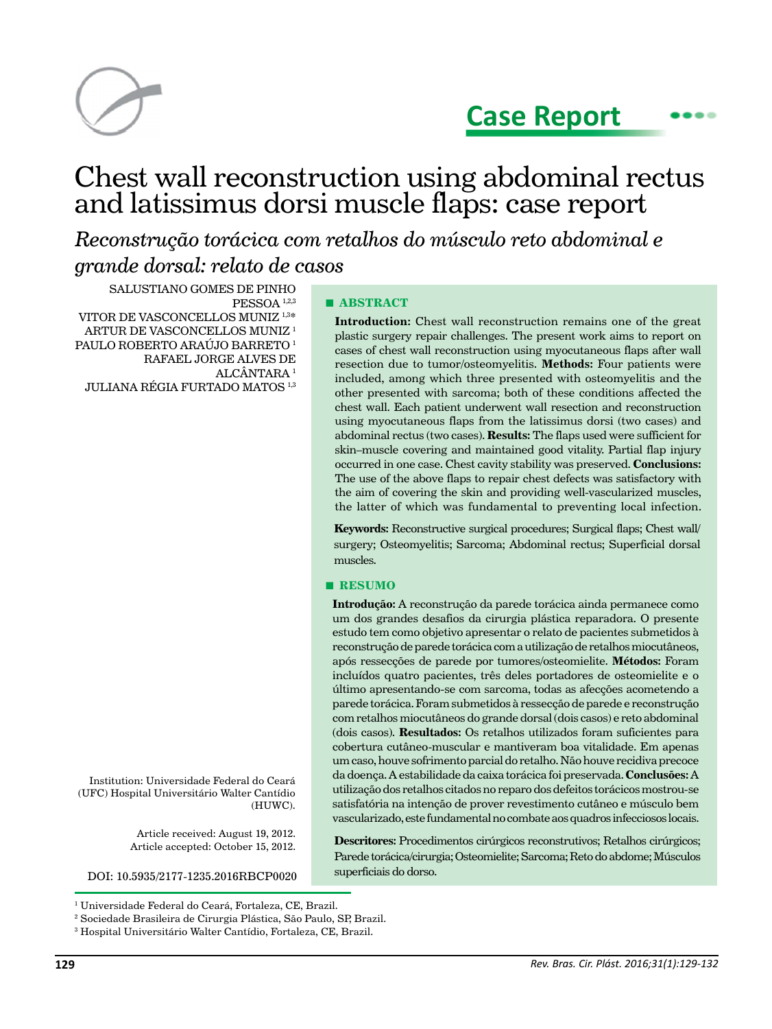

# **Case Report**

# Chest wall reconstruction using abdominal rectus and latissimus dorsi muscle flaps: case report

*Reconstrução torácica com retalhos do músculo reto abdominal e grande dorsal: relato de casos*

SALUSTIANO GOMES DE PINHO PESSOA 1,2,3

VITOR DE VASCONCELLOS MUNIZ 1,3\* ARTUR DE VASCONCELLOS MUNIZ 1 PAULO ROBERTO ARAÚJO BARRETO 1 RAFAEL JORGE ALVES DE ALCÂNTARA 1 JULIANA RÉGIA FURTADO MATOS 1,3

Institution: Universidade Federal do Ceará (UFC) Hospital Universitário Walter Cantídio (HUWC).

> Article received: August 19, 2012. Article accepted: October 15, 2012.

DOI: 10.5935/2177-1235.2016RBCP0020

**■ ABSTRACT**

**Introduction:** Chest wall reconstruction remains one of the great plastic surgery repair challenges. The present work aims to report on cases of chest wall reconstruction using myocutaneous flaps after wall resection due to tumor/osteomyelitis. **Methods:** Four patients were included, among which three presented with osteomyelitis and the other presented with sarcoma; both of these conditions affected the chest wall. Each patient underwent wall resection and reconstruction using myocutaneous flaps from the latissimus dorsi (two cases) and abdominal rectus (two cases). **Results:** The flaps used were sufficient for skin–muscle covering and maintained good vitality. Partial flap injury occurred in one case. Chest cavity stability was preserved. **Conclusions:**  The use of the above flaps to repair chest defects was satisfactory with the aim of covering the skin and providing well-vascularized muscles, the latter of which was fundamental to preventing local infection.

**Keywords:** Reconstructive surgical procedures; Surgical flaps; Chest wall/ surgery; Osteomyelitis; Sarcoma; Abdominal rectus; Superficial dorsal muscles.

#### **■ RESUMO**

**Introdução:** A reconstrução da parede torácica ainda permanece como um dos grandes desafios da cirurgia plástica reparadora. O presente estudo tem como objetivo apresentar o relato de pacientes submetidos à reconstrução de parede torácica com a utilização de retalhos miocutâneos, após ressecções de parede por tumores/osteomielite. **Métodos:** Foram incluídos quatro pacientes, três deles portadores de osteomielite e o último apresentando-se com sarcoma, todas as afecções acometendo a parede torácica. Foram submetidos à ressecção de parede e reconstrução com retalhos miocutâneos do grande dorsal (dois casos) e reto abdominal (dois casos). **Resultados:** Os retalhos utilizados foram suficientes para cobertura cutâneo-muscular e mantiveram boa vitalidade. Em apenas um caso, houve sofrimento parcial do retalho. Não houve recidiva precoce da doença. A estabilidade da caixa torácica foi preservada. **Conclusões:** A utilização dos retalhos citados no reparo dos defeitos torácicos mostrou-se satisfatória na intenção de prover revestimento cutâneo e músculo bem vascularizado, este fundamental no combate aos quadros infecciosos locais.

**Descritores:** Procedimentos cirúrgicos reconstrutivos; Retalhos cirúrgicos; Parede torácica/cirurgia; Osteomielite; Sarcoma; Reto do abdome; Músculos superficiais do dorso.

<sup>1</sup> Universidade Federal do Ceará, Fortaleza, CE, Brazil.

<sup>2</sup> Sociedade Brasileira de Cirurgia Plástica, São Paulo, SP, Brazil.

<sup>3</sup> Hospital Universitário Walter Cantídio, Fortaleza, CE, Brazil.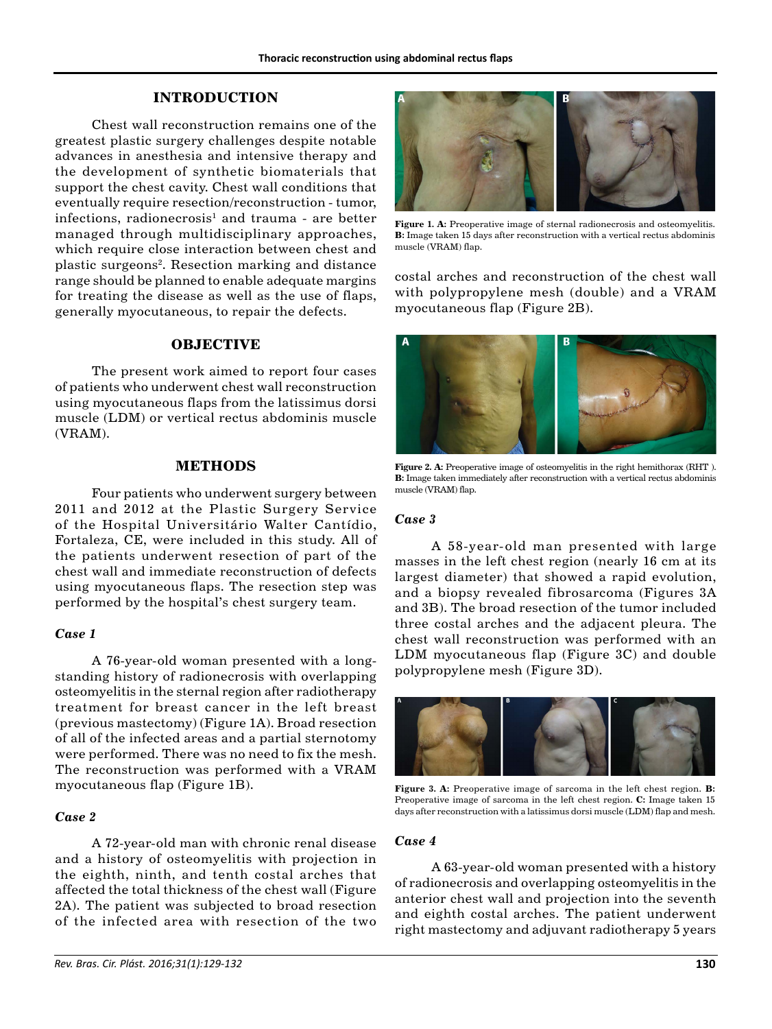## **INTRODUCTION**

Chest wall reconstruction remains one of the greatest plastic surgery challenges despite notable advances in anesthesia and intensive therapy and the development of synthetic biomaterials that support the chest cavity. Chest wall conditions that eventually require resection/reconstruction - tumor, infections, radionecrosis $^{\rm l}$  and trauma - are better managed through multidisciplinary approaches, which require close interaction between chest and plastic surgeons<sup>2</sup>. Resection marking and distance range should be planned to enable adequate margins for treating the disease as well as the use of flaps, generally myocutaneous, to repair the defects.

#### **OBJECTIVE**

The present work aimed to report four cases of patients who underwent chest wall reconstruction using myocutaneous flaps from the latissimus dorsi muscle (LDM) or vertical rectus abdominis muscle (VRAM).

### **METHODS**

Four patients who underwent surgery between 2011 and 2012 at the Plastic Surgery Service of the Hospital Universitário Walter Cantídio, Fortaleza, CE, were included in this study. All of the patients underwent resection of part of the chest wall and immediate reconstruction of defects using myocutaneous flaps. The resection step was performed by the hospital's chest surgery team.

## *Case 1*

A 76-year-old woman presented with a longstanding history of radionecrosis with overlapping osteomyelitis in the sternal region after radiotherapy treatment for breast cancer in the left breast (previous mastectomy) (Figure 1A). Broad resection of all of the infected areas and a partial sternotomy were performed. There was no need to fix the mesh. The reconstruction was performed with a VRAM myocutaneous flap (Figure 1B).

#### *Case 2*

A 72-year-old man with chronic renal disease and a history of osteomyelitis with projection in the eighth, ninth, and tenth costal arches that affected the total thickness of the chest wall (Figure 2A). The patient was subjected to broad resection of the infected area with resection of the two



**Figure 1. A:** Preoperative image of sternal radionecrosis and osteomyelitis. **B:** Image taken 15 days after reconstruction with a vertical rectus abdominis muscle (VRAM) flap.

costal arches and reconstruction of the chest wall with polypropylene mesh (double) and a VRAM myocutaneous flap (Figure 2B).



**Figure 2. A:** Preoperative image of osteomyelitis in the right hemithorax (RHT). **B:** Image taken immediately after reconstruction with a vertical rectus abdominis muscle (VRAM) flap.

## *Case 3*

A 58-year-old man presented with large masses in the left chest region (nearly 16 cm at its largest diameter) that showed a rapid evolution, and a biopsy revealed fibrosarcoma (Figures 3A and 3B). The broad resection of the tumor included three costal arches and the adjacent pleura. The chest wall reconstruction was performed with an LDM myocutaneous flap (Figure 3C) and double polypropylene mesh (Figure 3D).



**Figure 3. A:** Preoperative image of sarcoma in the left chest region. **B:**  Preoperative image of sarcoma in the left chest region. **C:** Image taken 15 days after reconstruction with a latissimus dorsi muscle (LDM) flap and mesh.

#### *Case 4*

A 63-year-old woman presented with a history of radionecrosis and overlapping osteomyelitis in the anterior chest wall and projection into the seventh and eighth costal arches. The patient underwent right mastectomy and adjuvant radiotherapy 5 years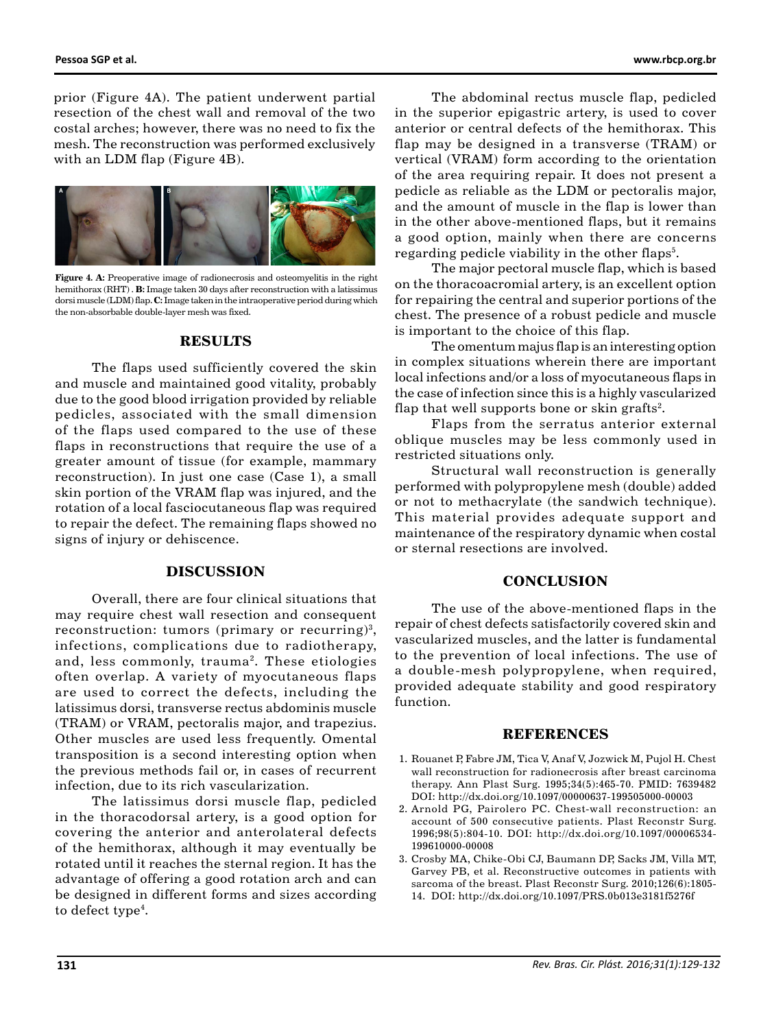prior (Figure 4A). The patient underwent partial resection of the chest wall and removal of the two costal arches; however, there was no need to fix the mesh. The reconstruction was performed exclusively with an LDM flap (Figure 4B).



Figure 4. A: Preoperative image of radionecrosis and osteomyelitis in the right hemithorax (RHT) . **B:** Image taken 30 days after reconstruction with a latissimus dorsi muscle (LDM) flap. **C:** Image taken in the intraoperative period during which the non-absorbable double-layer mesh was fixed.

### **RESULTS**

The flaps used sufficiently covered the skin and muscle and maintained good vitality, probably due to the good blood irrigation provided by reliable pedicles, associated with the small dimension of the flaps used compared to the use of these flaps in reconstructions that require the use of a greater amount of tissue (for example, mammary reconstruction). In just one case (Case 1), a small skin portion of the VRAM flap was injured, and the rotation of a local fasciocutaneous flap was required to repair the defect. The remaining flaps showed no signs of injury or dehiscence.

### **DISCUSSION**

Overall, there are four clinical situations that may require chest wall resection and consequent reconstruction: tumors (primary or recurring)<sup>3</sup>, infections, complications due to radiotherapy, and, less commonly, trauma<sup>2</sup>. These etiologies often overlap. A variety of myocutaneous flaps are used to correct the defects, including the latissimus dorsi, transverse rectus abdominis muscle (TRAM) or VRAM, pectoralis major, and trapezius. Other muscles are used less frequently. Omental transposition is a second interesting option when the previous methods fail or, in cases of recurrent infection, due to its rich vascularization.

The latissimus dorsi muscle flap, pedicled in the thoracodorsal artery, is a good option for covering the anterior and anterolateral defects of the hemithorax, although it may eventually be rotated until it reaches the sternal region. It has the advantage of offering a good rotation arch and can be designed in different forms and sizes according to defect type4 .

The abdominal rectus muscle flap, pedicled in the superior epigastric artery, is used to cover anterior or central defects of the hemithorax. This flap may be designed in a transverse (TRAM) or vertical (VRAM) form according to the orientation of the area requiring repair. It does not present a pedicle as reliable as the LDM or pectoralis major, and the amount of muscle in the flap is lower than in the other above-mentioned flaps, but it remains a good option, mainly when there are concerns regarding pedicle viability in the other flaps $^5$ .

The major pectoral muscle flap, which is based on the thoracoacromial artery, is an excellent option for repairing the central and superior portions of the chest. The presence of a robust pedicle and muscle is important to the choice of this flap.

The omentum majus flap is an interesting option in complex situations wherein there are important local infections and/or a loss of myocutaneous flaps in the case of infection since this is a highly vascularized flap that well supports bone or skin grafts<sup>2</sup>.

Flaps from the serratus anterior external oblique muscles may be less commonly used in restricted situations only.

Structural wall reconstruction is generally performed with polypropylene mesh (double) added or not to methacrylate (the sandwich technique). This material provides adequate support and maintenance of the respiratory dynamic when costal or sternal resections are involved.

#### **CONCLUSION**

The use of the above-mentioned flaps in the repair of chest defects satisfactorily covered skin and vascularized muscles, and the latter is fundamental to the prevention of local infections. The use of a double-mesh polypropylene, when required, provided adequate stability and good respiratory function.

#### **REFERENCES**

- 1. Rouanet P, Fabre JM, Tica V, Anaf V, Jozwick M, Pujol H. Chest wall reconstruction for radionecrosis after breast carcinoma therapy. Ann Plast Surg. 1995;34(5):465-70. PMID: 7639482 DOI: http://dx.doi.org/10.1097/00000637-199505000-00003
- 2. Arnold PG, Pairolero PC. Chest-wall reconstruction: an account of 500 consecutive patients. Plast Reconstr Surg. 1996;98(5):804-10. DOI: http://dx.doi.org/10.1097/00006534- 199610000-00008
- 3. Crosby MA, Chike-Obi CJ, Baumann DP, Sacks JM, Villa MT, Garvey PB, et al. Reconstructive outcomes in patients with sarcoma of the breast. Plast Reconstr Surg. 2010;126(6):1805- 14. DOI: http://dx.doi.org/10.1097/PRS.0b013e3181f5276f